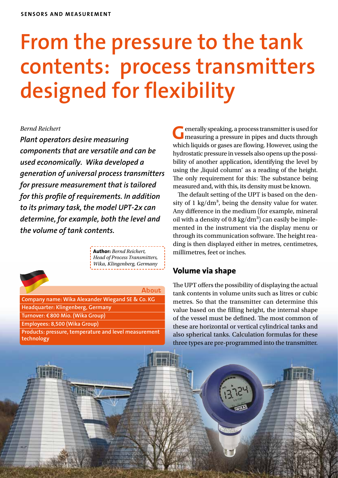# **From the pressure to the tank [contents: process transmitters](https://www.keosk.de/read/pXfKuE9XAzi3Q/epaper-AUTOMATION_TECHNOLOGIES_2_2015_%28EN%29)  designed for flexibility**

#### *Bernd Reichert*

*Plant operators desire measuring components that are versatile and can be used economically. Wika developed a generation of universal process transmitters for pressure measurement that is tailored for this profile of requirements. In addition to its primary task, the model UPT-2x can determine, for example, both the level and the volume of tank contents.*

> **Author:** *Bernd Reichert, Head of Process Transmitters, Wika, Klingenberg, Germany*



About

**Company name: Wika Alexander Wiegand SE & Co. KG Headquarter: Klingenberg, Germany Turnover: €800 Mio. (Wika Group) Employees: 8,500 (Wika Group) Products: pressure, temperature and level measurement** 

**technology**

**G**enerally speaking, a process transmitter is used for measuring a pressure in pipes and ducts through which liquids or gases are flowing. However, using the hydrostatic pressure in vessels also opens up the possibility of another application, identifying the level by using the , liquid column' as a reading of the height. The only requirement for this: The substance being measured and, with this, its density must be known.

The default setting of the UPT is based on the density of 1  $\text{kg/dm}^3$ , being the density value for water. Any difference in the medium (for example, mineral oil with a density of  $0.8 \text{ kg/dm}^3$  can easily be implemented in the instrument via the display menu or through its communication software. The height reading is then displayed either in metres, centimetres, millimetres, feet or inches.

# **Volume via shape**

The UPT offers the possibility of displaying the actual tank contents in volume units such as litres or cubic metres. So that the transmitter can determine this value based on the filling height, the internal shape of the vessel must be defined. The most common of these are horizontal or vertical cylindrical tanks and also spherical tanks. Calculation formulas for these three types are pre-programmed into the transmitter.